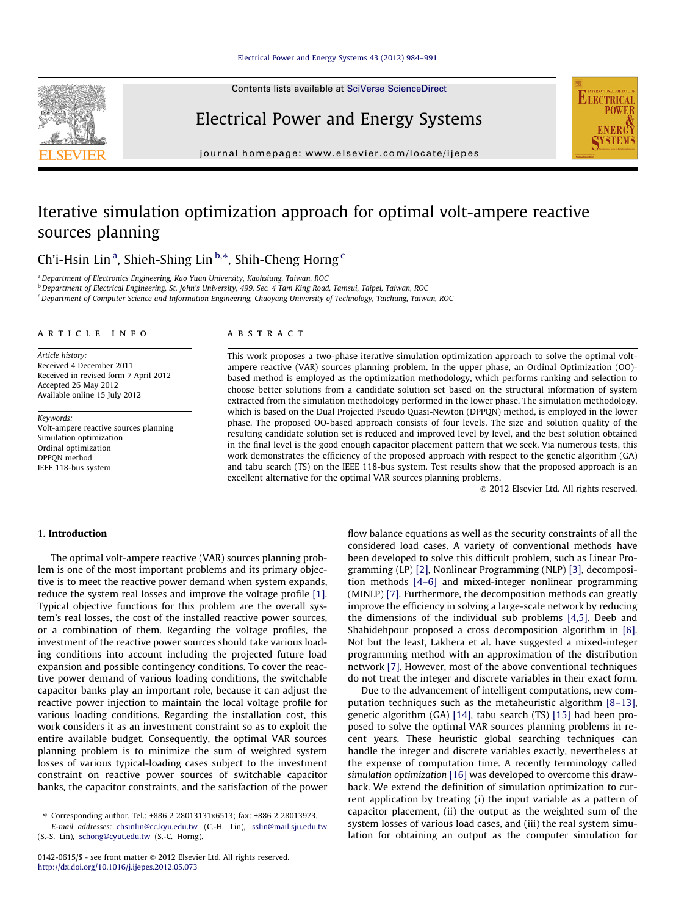Contents lists available at [SciVerse ScienceDirect](http://www.sciencedirect.com/science/journal/01420615)



Electrical Power and Energy Systems



journal homepage: [www.elsevier.com/locate/ijepes](http://www.elsevier.com/locate/ijepes)

# Iterative simulation optimization approach for optimal volt-ampere reactive sources planning

Ch'i-Hsin Lin<sup>a</sup>, Shieh-Shing Lin<sup>b,\*</sup>, Shih-Cheng Horng<sup>c</sup>

<sup>a</sup>Department of Electronics Engineering, Kao Yuan University, Kaohsiung, Taiwan, ROC

<sup>b</sup> Department of Electrical Engineering, St. John's University, 499, Sec. 4 Tam King Road, Tamsui, Taipei, Taiwan, ROC

<sup>c</sup> Department of Computer Science and Information Engineering, Chaoyang University of Technology, Taichung, Taiwan, ROC

#### article info

Article history: Received 4 December 2011 Received in revised form 7 April 2012 Accepted 26 May 2012 Available online 15 July 2012

Keywords: Volt-ampere reactive sources planning Simulation optimization Ordinal optimization DPPQN method IEEE 118-bus system

### ABSTRACT

This work proposes a two-phase iterative simulation optimization approach to solve the optimal voltampere reactive (VAR) sources planning problem. In the upper phase, an Ordinal Optimization (OO) based method is employed as the optimization methodology, which performs ranking and selection to choose better solutions from a candidate solution set based on the structural information of system extracted from the simulation methodology performed in the lower phase. The simulation methodology, which is based on the Dual Projected Pseudo Quasi-Newton (DPPQN) method, is employed in the lower phase. The proposed OO-based approach consists of four levels. The size and solution quality of the resulting candidate solution set is reduced and improved level by level, and the best solution obtained in the final level is the good enough capacitor placement pattern that we seek. Via numerous tests, this work demonstrates the efficiency of the proposed approach with respect to the genetic algorithm (GA) and tabu search (TS) on the IEEE 118-bus system. Test results show that the proposed approach is an excellent alternative for the optimal VAR sources planning problems.

- 2012 Elsevier Ltd. All rights reserved.

## 1. Introduction

The optimal volt-ampere reactive (VAR) sources planning problem is one of the most important problems and its primary objective is to meet the reactive power demand when system expands, reduce the system real losses and improve the voltage profile [\[1\].](#page--1-0) Typical objective functions for this problem are the overall system's real losses, the cost of the installed reactive power sources, or a combination of them. Regarding the voltage profiles, the investment of the reactive power sources should take various loading conditions into account including the projected future load expansion and possible contingency conditions. To cover the reactive power demand of various loading conditions, the switchable capacitor banks play an important role, because it can adjust the reactive power injection to maintain the local voltage profile for various loading conditions. Regarding the installation cost, this work considers it as an investment constraint so as to exploit the entire available budget. Consequently, the optimal VAR sources planning problem is to minimize the sum of weighted system losses of various typical-loading cases subject to the investment constraint on reactive power sources of switchable capacitor banks, the capacitor constraints, and the satisfaction of the power

E-mail addresses: [chsinlin@cc.kyu.edu.tw](mailto:chsinlin@cc.kyu.edu.tw) (C.-H. Lin), [sslin@mail.sju.edu.tw](mailto:sslin@mail.sju.edu.tw) (S.-S. Lin), [schong@cyut.edu.tw](mailto:schong@cyut.edu.tw) (S.-C. Horng).

flow balance equations as well as the security constraints of all the considered load cases. A variety of conventional methods have been developed to solve this difficult problem, such as Linear Programming (LP) [\[2\]](#page--1-0), Nonlinear Programming (NLP) [\[3\]](#page--1-0), decomposition methods [\[4–6\]](#page--1-0) and mixed-integer nonlinear programming (MINLP) [\[7\].](#page--1-0) Furthermore, the decomposition methods can greatly improve the efficiency in solving a large-scale network by reducing the dimensions of the individual sub problems [\[4,5\]](#page--1-0). Deeb and Shahidehpour proposed a cross decomposition algorithm in [\[6\].](#page--1-0) Not but the least, Lakhera et al. have suggested a mixed-integer programming method with an approximation of the distribution network [\[7\].](#page--1-0) However, most of the above conventional techniques do not treat the integer and discrete variables in their exact form.

Due to the advancement of intelligent computations, new computation techniques such as the metaheuristic algorithm [\[8–13\],](#page--1-0) genetic algorithm (GA) [\[14\]](#page--1-0), tabu search (TS) [\[15\]](#page--1-0) had been proposed to solve the optimal VAR sources planning problems in recent years. These heuristic global searching techniques can handle the integer and discrete variables exactly, nevertheless at the expense of computation time. A recently terminology called simulation optimization [\[16\]](#page--1-0) was developed to overcome this drawback. We extend the definition of simulation optimization to current application by treating (i) the input variable as a pattern of capacitor placement, (ii) the output as the weighted sum of the system losses of various load cases, and (iii) the real system simulation for obtaining an output as the computer simulation for

<sup>⇑</sup> Corresponding author. Tel.: +886 2 28013131x6513; fax: +886 2 28013973.

<sup>0142-0615/\$ -</sup> see front matter © 2012 Elsevier Ltd. All rights reserved. <http://dx.doi.org/10.1016/j.ijepes.2012.05.073>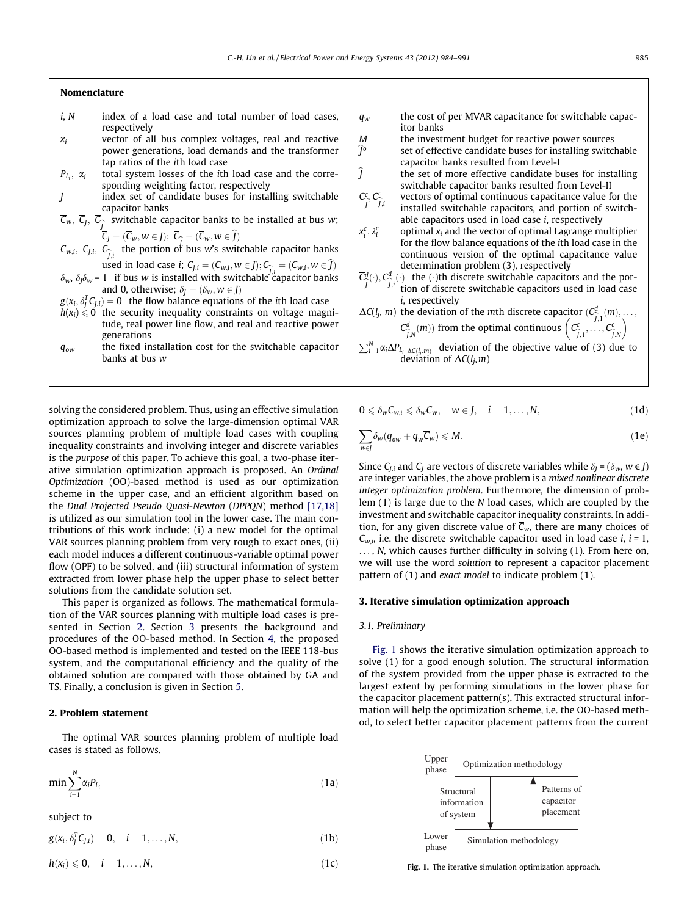#### Nomenclature

- $i, N$  index of a load case and total number of load cases, respectively
- $x_i$  vector of all bus complex voltages, real and reactive power generations, load demands and the transformer tap ratios of the ith load case
- $P_{L_i}$ ,  $\alpha_i$ total system losses of the ith load case and the corresponding weighting factor, respectively
- J index set of candidate buses for installing switchable capacitor banks
- $\mathcal{C}_w$ ,  $\mathcal{C}_j$ ,  $\mathcal{C}_{\widehat{j}}$  switchable capacitor banks to be installed at bus w;
- $C_J = (C_w, w \in J); C_{\widehat{I}} = (C_w, w \in J)$  $\mathcal{C}_{w,i}, \ \mathcal{C}_{j,i}, \ \mathcal{C}_{\widehat{j,i}}$  the portion of bus w's switchable capacitor banks used in load case *i*;  $C_{J,i} = (C_{w,i}, w \in J); C_{\widehat{J},i} = (C_{w,i}, w \in J)$
- $\delta_w$ ,  $\delta_l \delta_w$  = 1 if bus w is installed with switchable capacitor banks and 0, otherwise;  $\delta_I = (\delta_w, w \in I)$
- $g(x_i, \delta_j^T C_{J,i}) = 0$  the flow balance equations of the ith load case
- $h(x_i) \le 0$  the security inequality constraints on voltage magnitude, real power line flow, and real and reactive power generations
- $q_{ow}$  the fixed installation cost for the switchable capacitor banks at bus w

solving the considered problem. Thus, using an effective simulation optimization approach to solve the large-dimension optimal VAR sources planning problem of multiple load cases with coupling inequality constraints and involving integer and discrete variables is the purpose of this paper. To achieve this goal, a two-phase iterative simulation optimization approach is proposed. An Ordinal Optimization (OO)-based method is used as our optimization scheme in the upper case, and an efficient algorithm based on the Dual Projected Pseudo Quasi-Newton (DPPQN) method [\[17,18\]](#page--1-0) is utilized as our simulation tool in the lower case. The main contributions of this work include: (i) a new model for the optimal VAR sources planning problem from very rough to exact ones, (ii) each model induces a different continuous-variable optimal power flow (OPF) to be solved, and (iii) structural information of system extracted from lower phase help the upper phase to select better solutions from the candidate solution set.

This paper is organized as follows. The mathematical formulation of the VAR sources planning with multiple load cases is presented in Section 2. Section 3 presents the background and procedures of the OO-based method. In Section [4](#page--1-0), the proposed OO-based method is implemented and tested on the IEEE 118-bus system, and the computational efficiency and the quality of the obtained solution are compared with those obtained by GA and TS. Finally, a conclusion is given in Section [5](#page--1-0).

#### 2. Problem statement

The optimal VAR sources planning problem of multiple load cases is stated as follows.

$$
\min \sum_{i=1}^{N} \alpha_i P_{L_i} \tag{1a}
$$

subject to

$$
g(x_i, \delta_j^T C_{j,i}) = 0, \quad i = 1, \dots, N,
$$
\n(1b)

$$
h(x_i) \leq 0, \quad i = 1, \ldots, N,
$$
\n(1c)

- $q_w$  the cost of per MVAR capacitance for switchable capacitor banks
- *M* the investment budget for reactive power sources  $\hat{J}^{\circ}$  set of effective candidate buses for installing switch
- set of effective candidate buses for installing switchable capacitor banks resulted from Level-I
- $\hat{I}$  the set of more effective candidate buses for installing switchable capacitor banks resulted from Level-II
- $\overline{C}_{\widehat{j}}^c, C_{\widehat{j}}^c$ vectors of optimal continuous capacitance value for the installed switchable capacitors, and portion of switchable capacitors used in load case i, respectively
- $x_i^c, \lambda_i^c$ optimal  $x_i$  and the vector of optimal Lagrange multiplier for the flow balance equations of the ith load case in the continuous version of the optimal capacitance value determination problem (3), respectively
- $\overline{C}_{j}^{d}(\cdot), C_{j,i}^{d}(\cdot)$  the ( $\cdot$ )th discrete switchable capacitors and the por-<br> $\overline{C}_{j}^{d}(\cdot), C_{j,i}^{d}$  tion of discrete switchable capacitors used in load case tion of discrete switchable capacitors used in load case i, respectively
- $\Delta C(l_j, m)$  the deviation of the *mth* discrete capacitor  $(C_{\overline{j},1}^d(m), \ldots, C_{\overline{j},1}^d(m))$  $C_{\widehat{j},N}^d(m)$  from the optimal continuous  $C_{\widehat{j},1}^c, \ldots, C_{\widehat{j},N}^c$  $\left\langle \begin{array}{c} \begin{array}{c} \begin{array}{c} \end{array}\\ \end{array} \begin{array}{c} \end{array} \begin{array}{c} \end{array} \begin{array}{c} \end{array} \begin{array}{c} \end{array} \begin{array}{c} \end{array} \begin{array}{c} \end{array} \begin{array}{c} \end{array} \begin{array}{c} \end{array} \begin{array}{c} \end{array} \begin{array}{c} \end{array} \begin{array}{c} \end{array} \begin{array}{c} \end{array} \begin{array}{c} \end{array} \begin{array}{c} \end{array} \begin{array}{c} \end{array} \begin{array}{$
- $\sum_{i=1}^{N} \alpha_i \Delta P_{L_i} \big|_{\Delta C(l_j,m)}$  deviation of the objective value of (3) due to deviation of  $\Delta C(l_i,m)$

$$
0\leqslant \delta_w C_{w,i}\leqslant \delta_w \overline{C}_w, \quad w\in J, \quad i=1,\ldots,N,\tag{1d}
$$

$$
\sum_{w \in J} \delta_w (q_{ow} + q_w \overline{C}_w) \leqslant M. \tag{1e}
$$

Since  $C_{Li}$  and  $\overline{C}_I$  are vectors of discrete variables while  $\delta_I = (\delta_w, w \in I)$ are integer variables, the above problem is a mixed nonlinear discrete integer optimization problem. Furthermore, the dimension of problem (1) is large due to the N load cases, which are coupled by the investment and switchable capacitor inequality constraints. In addition, for any given discrete value of  $\overline{C}_w$ , there are many choices of  $C_{w,i}$ , i.e. the discrete switchable capacitor used in load case *i*, *i* = 1, ..., N, which causes further difficulty in solving (1). From here on, we will use the word solution to represent a capacitor placement pattern of (1) and exact model to indicate problem (1).

#### 3. Iterative simulation optimization approach

#### 3.1. Preliminary

Fig. 1 shows the iterative simulation optimization approach to solve (1) for a good enough solution. The structural information of the system provided from the upper phase is extracted to the largest extent by performing simulations in the lower phase for the capacitor placement pattern(s). This extracted structural information will help the optimization scheme, i.e. the OO-based method, to select better capacitor placement patterns from the current



Fig. 1. The iterative simulation optimization approach.